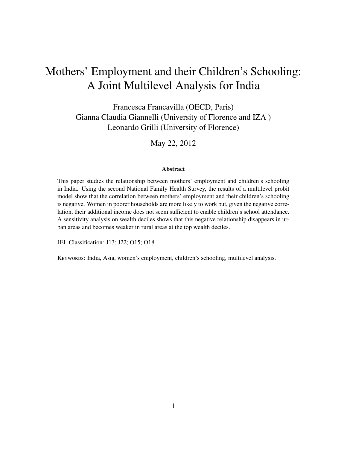# Mothers' Employment and their Children's Schooling: A Joint Multilevel Analysis for India

Francesca Francavilla (OECD, Paris) Gianna Claudia Giannelli (University of Florence and IZA ) Leonardo Grilli (University of Florence)

May 22, 2012

### Abstract

This paper studies the relationship between mothers' employment and children's schooling in India. Using the second National Family Health Survey, the results of a multilevel probit model show that the correlation between mothers' employment and their children's schooling is negative. Women in poorer households are more likely to work but, given the negative correlation, their additional income does not seem sufficient to enable children's school attendance. A sensitivity analysis on wealth deciles shows that this negative relationship disappears in urban areas and becomes weaker in rural areas at the top wealth deciles.

JEL Classification: J13; J22; O15; O18.

Keywords: India, Asia, women's employment, children's schooling, multilevel analysis.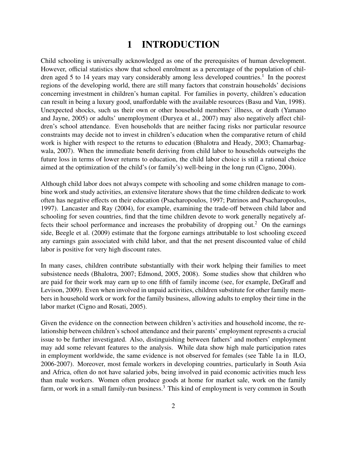# 1 INTRODUCTION

Child schooling is universally acknowledged as one of the prerequisites of human development. However, official statistics show that school enrolment as a percentage of the population of children aged 5 to 14 years may vary considerably among less developed countries.<sup>1</sup> In the poorest regions of the developing world, there are still many factors that constrain households' decisions concerning investment in children's human capital. For families in poverty, children's education can result in being a luxury good, unaffordable with the available resources (Basu and Van, 1998). Unexpected shocks, such us their own or other household members' illness, or death (Yamano and Jayne, 2005) or adults' unemployment (Duryea et al., 2007) may also negatively affect children's school attendance. Even households that are neither facing risks nor particular resource constraints may decide not to invest in children's education when the comparative return of child work is higher with respect to the returns to education (Bhalotra and Heady, 2003; Chamarbagwala, 2007). When the immediate benefit deriving from child labor to households outweighs the future loss in terms of lower returns to education, the child labor choice is still a rational choice aimed at the optimization of the child's (or family's) well-being in the long run (Cigno, 2004).

Although child labor does not always compete with schooling and some children manage to combine work and study activities, an extensive literature shows that the time children dedicate to work often has negative effects on their education (Psacharopoulos, 1997; Patrinos and Psacharopoulos, 1997). Lancaster and Ray (2004), for example, examining the trade-off between child labor and schooling for seven countries, find that the time children devote to work generally negatively affects their school performance and increases the probability of dropping out.<sup>2</sup> On the earnings side, Beegle et al. (2009) estimate that the forgone earnings attributable to lost schooling exceed any earnings gain associated with child labor, and that the net present discounted value of child labor is positive for very high discount rates.

In many cases, children contribute substantially with their work helping their families to meet subsistence needs (Bhalotra, 2007; Edmond, 2005, 2008). Some studies show that children who are paid for their work may earn up to one fifth of family income (see, for example, DeGraff and Levison, 2009). Even when involved in unpaid activities, children substitute for other family members in household work or work for the family business, allowing adults to employ their time in the labor market (Cigno and Rosati, 2005).

Given the evidence on the connection between children's activities and household income, the relationship between children's school attendance and their parents' employment represents a crucial issue to be further investigated. Also, distinguishing between fathers' and mothers' employment may add some relevant features to the analysis. While data show high male participation rates in employment worldwide, the same evidence is not observed for females (see Table 1a in ILO, 2006-2007). Moreover, most female workers in developing countries, particularly in South Asia and Africa, often do not have salaried jobs, being involved in paid economic activities much less than male workers. Women often produce goods at home for market sale, work on the family farm, or work in a small family-run business.<sup>3</sup> This kind of employment is very common in South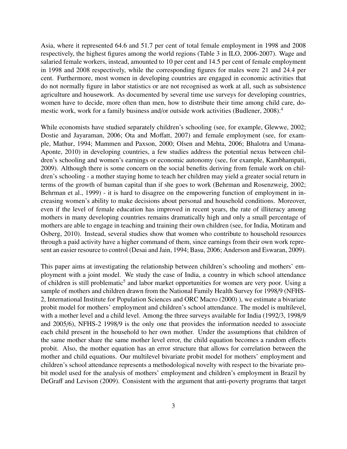Asia, where it represented 64.6 and 51.7 per cent of total female employment in 1998 and 2008 respectively, the highest figures among the world regions (Table 3 in ILO, 2006-2007). Wage and salaried female workers, instead, amounted to 10 per cent and 14.5 per cent of female employment in 1998 and 2008 respectively, while the corresponding figures for males were 21 and 24.4 per cent. Furthermore, most women in developing countries are engaged in economic activities that do not normally figure in labor statistics or are not recognised as work at all, such as subsistence agriculture and housework. As documented by several time use surveys for developing countries, women have to decide, more often than men, how to distribute their time among child care, domestic work, work for a family business and/or outside work activities (Budlener, 2008).<sup>4</sup>

While economists have studied separately children's schooling (see, for example, Glewwe, 2002; Dostie and Jayaraman, 2006; Ota and Moffatt, 2007) and female employment (see, for example, Mathur, 1994; Mammen and Paxson, 2000; Olsen and Mehta, 2006; Bhalotra and Umana-Aponte, 2010) in developing countries, a few studies address the potential nexus between children's schooling and women's earnings or economic autonomy (see, for example, Kambhampati, 2009). Although there is some concern on the social benefits deriving from female work on children's schooling - a mother staying home to teach her children may yield a greater social return in terms of the growth of human capital than if she goes to work (Behrman and Rosenzweig, 2002; Behrman et al., 1999) - it is hard to disagree on the empowering function of employment in increasing women's ability to make decisions about personal and household conditions. Moreover, even if the level of female education has improved in recent years, the rate of illiteracy among mothers in many developing countries remains dramatically high and only a small percentage of mothers are able to engage in teaching and training their own children (see, for India, Motiram and Osberg, 2010). Instead, several studies show that women who contribute to household resources through a paid activity have a higher command of them, since earnings from their own work represent an easier resource to control (Desai and Jain, 1994; Basu, 2006; Anderson and Eswaran, 2009).

This paper aims at investigating the relationship between children's schooling and mothers' employment with a joint model. We study the case of India, a country in which school attendance of children is still problematic<sup>5</sup> and labor market opportunities for women are very poor. Using a sample of mothers and children drawn from the National Family Health Survey for 1998/9 (NFHS-2, International Institute for Population Sciences and ORC Macro (2000) ), we estimate a bivariate probit model for mothers' employment and children's school attendance. The model is multilevel, with a mother level and a child level. Among the three surveys available for India (1992/3, 1998/9 and 2005/6), NFHS-2 1998/9 is the only one that provides the information needed to associate each child present in the household to her own mother. Under the assumptions that children of the same mother share the same mother level error, the child equation becomes a random effects probit. Also, the mother equation has an error structure that allows for correlation between the mother and child equations. Our multilevel bivariate probit model for mothers' employment and children's school attendance represents a methodological novelty with respect to the bivariate probit model used for the analysis of mothers' employment and children's employment in Brazil by DeGraff and Levison (2009). Consistent with the argument that anti-poverty programs that target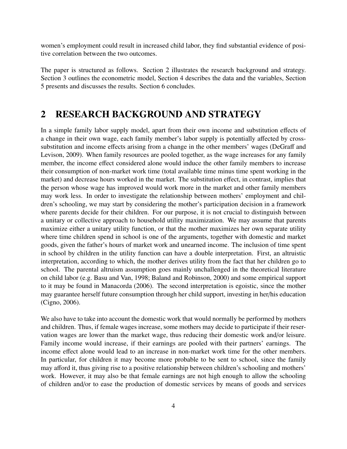women's employment could result in increased child labor, they find substantial evidence of positive correlation between the two outcomes.

The paper is structured as follows. Section 2 illustrates the research background and strategy. Section 3 outlines the econometric model, Section 4 describes the data and the variables, Section 5 presents and discusses the results. Section 6 concludes.

# 2 RESEARCH BACKGROUND AND STRATEGY

In a simple family labor supply model, apart from their own income and substitution effects of a change in their own wage, each family member's labor supply is potentially affected by crosssubstitution and income effects arising from a change in the other members' wages (DeGraff and Levison, 2009). When family resources are pooled together, as the wage increases for any family member, the income effect considered alone would induce the other family members to increase their consumption of non-market work time (total available time minus time spent working in the market) and decrease hours worked in the market. The substitution effect, in contrast, implies that the person whose wage has improved would work more in the market and other family members may work less. In order to investigate the relationship between mothers' employment and children's schooling, we may start by considering the mother's participation decision in a framework where parents decide for their children. For our purpose, it is not crucial to distinguish between a unitary or collective approach to household utility maximization. We may assume that parents maximize either a unitary utility function, or that the mother maximizes her own separate utility where time children spend in school is one of the arguments, together with domestic and market goods, given the father's hours of market work and unearned income. The inclusion of time spent in school by children in the utility function can have a double interpretation. First, an altruistic interpretation, according to which, the mother derives utility from the fact that her children go to school. The parental altruism assumption goes mainly unchallenged in the theoretical literature on child labor (e.g. Basu and Van, 1998; Baland and Robinson, 2000) and some empirical support to it may be found in Manacorda (2006). The second interpretation is egoistic, since the mother may guarantee herself future consumption through her child support, investing in her/his education (Cigno, 2006).

We also have to take into account the domestic work that would normally be performed by mothers and children. Thus, if female wages increase, some mothers may decide to participate if their reservation wages are lower than the market wage, thus reducing their domestic work and/or leisure. Family income would increase, if their earnings are pooled with their partners' earnings. The income effect alone would lead to an increase in non-market work time for the other members. In particular, for children it may become more probable to be sent to school, since the family may afford it, thus giving rise to a positive relationship between children's schooling and mothers' work. However, it may also be that female earnings are not high enough to allow the schooling of children and/or to ease the production of domestic services by means of goods and services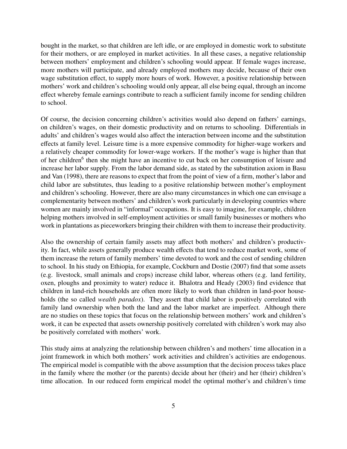bought in the market, so that children are left idle, or are employed in domestic work to substitute for their mothers, or are employed in market activities. In all these cases, a negative relationship between mothers' employment and children's schooling would appear. If female wages increase, more mothers will participate, and already employed mothers may decide, because of their own wage substitution effect, to supply more hours of work. However, a positive relationship between mothers' work and children's schooling would only appear, all else being equal, through an income effect whereby female earnings contribute to reach a sufficient family income for sending children to school.

Of course, the decision concerning children's activities would also depend on fathers' earnings, on children's wages, on their domestic productivity and on returns to schooling. Differentials in adults' and children's wages would also affect the interaction between income and the substitution effects at family level. Leisure time is a more expensive commodity for higher-wage workers and a relatively cheaper commodity for lower-wage workers. If the mother's wage is higher than that of her children<sup>6</sup> then she might have an incentive to cut back on her consumption of leisure and increase her labor supply. From the labor demand side, as stated by the substitution axiom in Basu and Van (1998), there are reasons to expect that from the point of view of a firm, mother's labor and child labor are substitutes, thus leading to a positive relationship between mother's employment and children's schooling. However, there are also many circumstances in which one can envisage a complementarity between mothers' and children's work particularly in developing countries where women are mainly involved in "informal" occupations. It is easy to imagine, for example, children helping mothers involved in self-employment activities or small family businesses or mothers who work in plantations as pieceworkers bringing their children with them to increase their productivity.

Also the ownership of certain family assets may affect both mothers' and children's productivity. In fact, while assets generally produce wealth effects that tend to reduce market work, some of them increase the return of family members' time devoted to work and the cost of sending children to school. In his study on Ethiopia, for example, Cockburn and Dostie (2007) find that some assets (e.g. livestock, small animals and crops) increase child labor, whereas others (e.g. land fertility, oxen, ploughs and proximity to water) reduce it. Bhalotra and Heady (2003) find evidence that children in land-rich households are often more likely to work than children in land-poor households (the so called *wealth paradox*). They assert that child labor is positively correlated with family land ownership when both the land and the labor market are imperfect. Although there are no studies on these topics that focus on the relationship between mothers' work and children's work, it can be expected that assets ownership positively correlated with children's work may also be positively correlated with mothers' work.

This study aims at analyzing the relationship between children's and mothers' time allocation in a joint framework in which both mothers' work activities and children's activities are endogenous. The empirical model is compatible with the above assumption that the decision process takes place in the family where the mother (or the parents) decide about her (their) and her (their) children's time allocation. In our reduced form empirical model the optimal mother's and children's time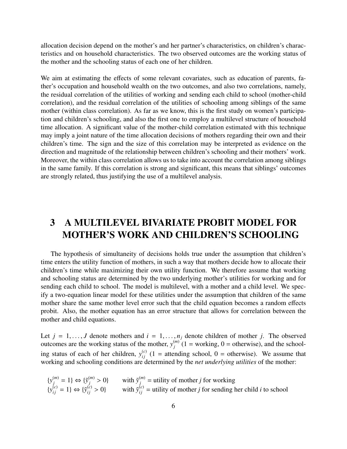allocation decision depend on the mother's and her partner's characteristics, on children's characteristics and on household characteristics. The two observed outcomes are the working status of the mother and the schooling status of each one of her children.

We aim at estimating the effects of some relevant covariates, such as education of parents, father's occupation and household wealth on the two outcomes, and also two correlations, namely, the residual correlation of the utilities of working and sending each child to school (mother-child correlation), and the residual correlation of the utilities of schooling among siblings of the same mother (within class correlation). As far as we know, this is the first study on women's participation and children's schooling, and also the first one to employ a multilevel structure of household time allocation. A significant value of the mother-child correlation estimated with this technique may imply a joint nature of the time allocation decisions of mothers regarding their own and their children's time. The sign and the size of this correlation may be interpreted as evidence on the direction and magnitude of the relationship between children's schooling and their mothers' work. Moreover, the within class correlation allows us to take into account the correlation among siblings in the same family. If this correlation is strong and significant, this means that siblings' outcomes are strongly related, thus justifying the use of a multilevel analysis.

# 3 A MULTILEVEL BIVARIATE PROBIT MODEL FOR MOTHER'S WORK AND CHILDREN'S SCHOOLING

The hypothesis of simultaneity of decisions holds true under the assumption that children's time enters the utility function of mothers, in such a way that mothers decide how to allocate their children's time while maximizing their own utility function. We therefore assume that working and schooling status are determined by the two underlying mother's utilities for working and for sending each child to school. The model is multilevel, with a mother and a child level. We specify a two-equation linear model for these utilities under the assumption that children of the same mother share the same mother level error such that the child equation becomes a random effects probit. Also, the mother equation has an error structure that allows for correlation between the mother and child equations.

Let  $j = 1, \ldots, J$  denote mothers and  $i = 1, \ldots, n_j$  denote children of mother *j*. The observed outcomes are the working status of the mother,  $y_i^{(m)}$  $j_j^{(m)}$  (1 = working, 0 = otherwise), and the schooling status of each of her children,  $y_{ij}^{(c)}$  (1 = attending school, 0 = otherwise). We assume that working and schooling conditions are determined by the *net underlying utilities* of the mother:

$$
\{y_j^{(m)} = 1\} \Leftrightarrow \{\tilde{y}_j^{(m)} > 0\}
$$
 with  $\tilde{y}_j^{(m)} =$  utility of mother *j* for working  

$$
\{y_{ij}^{(c)} = 1\} \Leftrightarrow \{\tilde{y}_{ij}^{(c)} > 0\}
$$
 with  $\tilde{y}_{ij}^{(c)} =$  utility of mother *j* for sending her child *i* to school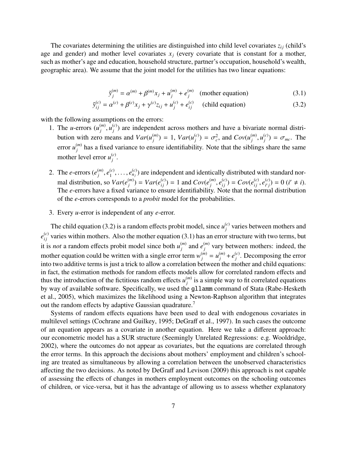The covariates determining the utilities are distinguished into child level covariates  $z_{ij}$  (child's age and gender) and mother level covariates  $x_j$  (every covariate that is constant for a mother, such as mother's age and education, household structure, partner's occupation, household's wealth, geographic area). We assume that the joint model for the utilities has two linear equations:

$$
\tilde{y}_{j}^{(m)} = \alpha^{(m)} + \beta^{(m)} x_{j} + u_{j}^{(m)} + e_{j}^{(m)}
$$
 (mother equation) (3.1)

$$
\tilde{y}_{ij}^{(c)} = \alpha^{(c)} + \beta^{(c)} x_j + \gamma^{(c)} z_{ij} + u_j^{(c)} + e_{ij}^{(c)}
$$
 (child equation) \t(3.2)

with the following assumptions on the errors:

- 1. The *u*-errors  $(u_j^{(m)})$  $\sum_{j}^{(m)}$ ,  $u_j^{(c)}$  $j^{(c)}$ ) are independent across mothers and have a bivariate normal distribution with zero means and  $Var(u_i^{(m)})$  $j^{(m)}$ ) = 1, *Var*( $u_j^{(c)}$ )  $(\sigma_i^{(c)}) = \sigma_c^2$ , and  $Cov(u_j^{(m)})$ *j* , *u* (*c*)  $(\sigma_j^{(c)}) = \sigma_{mc}$ . The error *u* (*m*)  $j_j^{(m)}$  has a fixed variance to ensure identifiability. Note that the siblings share the same mother level error  $u_i^{(c)}$ *j* .
- 2. The *e*-errors  $(e_i^{(m)})$  $e_1^{(m)}$ ,  $e_1^{(c)}$  $\mathcal{L}_{1}^{(c)}, \ldots, \mathcal{L}_{n_{j}}^{(c)}$  are independent and identically distributed with standard nor-<br> $\mathcal{L}_{1}^{(c)}$  ( $\mathcal{L}_{2}^{(m)}$ ) are independent and identically distributed with standard normal distribution, so  $Var(e_i^{(m)})$  $y_j^{(m)}$ ) = *Var*( $e_{ij}^{(c)}$ ) = 1 and  $Cov(e_j^{(m)})$  $e_{ij}^{(m)}, e_{ij}^{(c)}$ ) =  $Cov(e_{ij}^{(c)}, e_{i'j}^{(c)})$ <br>*v* Note that the norms  $j_{i'j}^{(c)}$ ) = 0 (*i*'  $\neq$  *i*). The *e*-errors have a fixed variance to ensure identifiability. Note that the normal distribution of the *e*-errors corresponds to a *probit* model for the probabilities.
- 3. Every *u*-error is independent of any *e*-error.

The child equation (3.2) is a random effects probit model, since  $u_i^{(c)}$  $j_j^{(c)}$  varies between mothers and  $e_{ij}^{(c)}$  varies within mothers. Also the mother equation (3.1) has an error structure with two terms, but it is *not* a random effects probit model since both  $u_i^{(m)}$  $e_j^{(m)}$  and  $e_j^{(m)}$  $j_j^{(m)}$  vary between mothers: indeed, the mother equation could be written with a single error term  $w_j^{(m)} = u_j^{(m)} + e_j^{(c)}$  $j^{(c)}$ . Decomposing the error into two additive terms is just a trick to allow a correlation between the mother and child equations: in fact, the estimation methods for random effects models allow for correlated random effects and thus the introduction of the fictitious random effects  $u_i^{(m)}$  $j_j^{(m)}$  is a simple way to fit correlated equations by way of available software. Specifically, we used the gllamm command of Stata (Rabe-Hesketh et al., 2005), which maximizes the likelihood using a Newton-Raphson algorithm that integrates out the random effects by adaptive Gaussian quadrature.<sup>7</sup>

Systems of random effects equations have been used to deal with endogenous covariates in multilevel settings (Cochrane and Guilkey, 1995; DeGraff et al., 1997). In such cases the outcome of an equation appears as a covariate in another equation. Here we take a different approach: our econometric model has a SUR structure (Seemingly Unrelated Regressions: e.g. Wooldridge, 2002), where the outcomes do not appear as covariates, but the equations are correlated through the error terms. In this approach the decisions about mothers' employment and children's schooling are treated as simultaneous by allowing a correlation between the unobserved characteristics affecting the two decisions. As noted by DeGraff and Levison (2009) this approach is not capable of assessing the effects of changes in mothers employment outcomes on the schooling outcomes of children, or vice-versa, but it has the advantage of allowing us to assess whether explanatory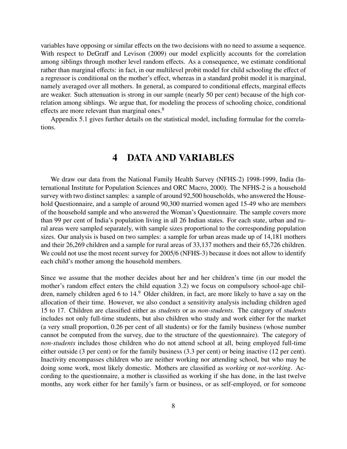variables have opposing or similar effects on the two decisions with no need to assume a sequence. With respect to DeGraff and Levison (2009) our model explicitly accounts for the correlation among siblings through mother level random effects. As a consequence, we estimate conditional rather than marginal effects: in fact, in our multilevel probit model for child schooling the effect of a regressor is conditional on the mother's effect, whereas in a standard probit model it is marginal, namely averaged over all mothers. In general, as compared to conditional effects, marginal effects are weaker. Such attenuation is strong in our sample (nearly 50 per cent) because of the high correlation among siblings. We argue that, for modeling the process of schooling choice, conditional effects are more relevant than marginal ones.<sup>8</sup>

Appendix 5.1 gives further details on the statistical model, including formulae for the correlations.

# 4 DATA AND VARIABLES

We draw our data from the National Family Health Survey (NFHS-2) 1998-1999, India (International Institute for Population Sciences and ORC Macro, 2000). The NFHS-2 is a household survey with two distinct samples: a sample of around 92,500 households, who answered the Household Questionnaire, and a sample of around 90,300 married women aged 15-49 who are members of the household sample and who answered the Woman's Questionnaire. The sample covers more than 99 per cent of India's population living in all 26 Indian states. For each state, urban and rural areas were sampled separately, with sample sizes proportional to the corresponding population sizes. Our analysis is based on two samples: a sample for urban areas made up of 14,181 mothers and their 26,269 children and a sample for rural areas of 33,137 mothers and their 65,726 children. We could not use the most recent survey for 2005/6 (NFHS-3) because it does not allow to identify each child's mother among the household members.

Since we assume that the mother decides about her and her children's time (in our model the mother's random effect enters the child equation 3.2) we focus on compulsory school-age children, namely children aged 6 to 14.<sup>9</sup> Older children, in fact, are more likely to have a say on the allocation of their time. However, we also conduct a sensitivity analysis including children aged 15 to 17. Children are classified either as *students* or as *non-students.* The category of *students* includes not only full-time students, but also children who study and work either for the market (a very small proportion, 0.26 per cent of all students) or for the family business (whose number cannot be computed from the survey, due to the structure of the questionnaire). The category of *non-students* includes those children who do not attend school at all, being employed full-time either outside (3 per cent) or for the family business (3.3 per cent) or being inactive (12 per cent). Inactivity encompasses children who are neither working nor attending school, but who may be doing some work, most likely domestic. Mothers are classified as *working* or *not-working*. According to the questionnaire, a mother is classified as working if she has done, in the last twelve months, any work either for her family's farm or business, or as self-employed, or for someone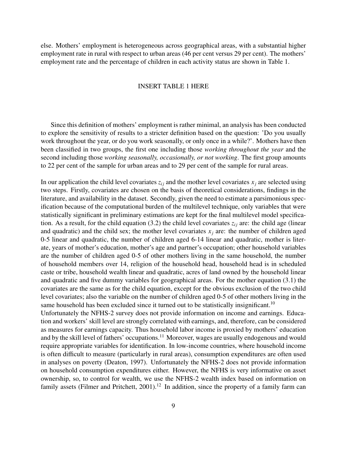else. Mothers' employment is heterogeneous across geographical areas, with a substantial higher employment rate in rural with respect to urban areas (46 per cent versus 29 per cent). The mothers' employment rate and the percentage of children in each activity status are shown in Table 1.

### INSERT TABLE 1 HERE

Since this definition of mothers' employment is rather minimal, an analysis has been conducted to explore the sensitivity of results to a stricter definition based on the question: 'Do you usually work throughout the year, or do you work seasonally, or only once in a while?'. Mothers have then been classified in two groups, the first one including those *working throughout the year* and the second including those *working seasonally, occasionally, or not working*. The first group amounts to 22 per cent of the sample for urban areas and to 29 per cent of the sample for rural areas.

In our application the child level covariates  $z_{ij}$  and the mother level covariates  $x_j$  are selected using two steps. Firstly, covariates are chosen on the basis of theoretical considerations, findings in the literature, and availability in the dataset. Secondly, given the need to estimate a parsimonious specification because of the computational burden of the multilevel technique, only variables that were statistically significant in preliminary estimations are kept for the final multilevel model specification. As a result, for the child equation (3.2) the child level covariates  $z_{ij}$  are: the child age (linear and quadratic) and the child sex; the mother level covariates  $x_j$  are: the number of children aged 0-5 linear and quadratic, the number of children aged 6-14 linear and quadratic, mother is literate, years of mother's education, mother's age and partner's occupation; other household variables are the number of children aged 0-5 of other mothers living in the same household, the number of household members over 14, religion of the household head, household head is in scheduled caste or tribe, household wealth linear and quadratic, acres of land owned by the household linear and quadratic and five dummy variables for geographical areas. For the mother equation (3.1) the covariates are the same as for the child equation, except for the obvious exclusion of the two child level covariates; also the variable on the number of children aged 0-5 of other mothers living in the same household has been excluded since it turned out to be statistically insignificant.<sup>10</sup>

Unfortunately the NFHS-2 survey does not provide information on income and earnings. Education and workers' skill level are strongly correlated with earnings, and, therefore, can be considered as measures for earnings capacity. Thus household labor income is proxied by mothers' education and by the skill level of fathers' occupations.<sup>11</sup> Moreover, wages are usually endogenous and would require appropriate variables for identification. In low-income countries, where household income is often difficult to measure (particularly in rural areas), consumption expenditures are often used in analyses on poverty (Deaton, 1997). Unfortunately the NFHS-2 does not provide information on household consumption expenditures either. However, the NFHS is very informative on asset ownership, so, to control for wealth, we use the NFHS-2 wealth index based on information on family assets (Filmer and Pritchett, 2001).<sup>12</sup> In addition, since the property of a family farm can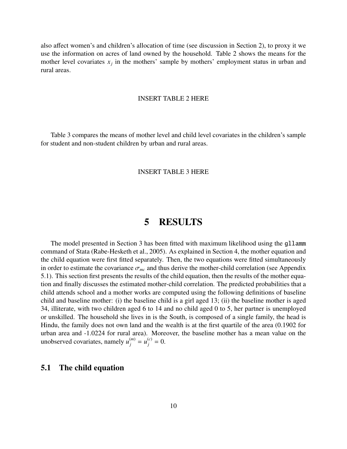also affect women's and children's allocation of time (see discussion in Section 2), to proxy it we use the information on acres of land owned by the household. Table 2 shows the means for the mother level covariates  $x_j$  in the mothers' sample by mothers' employment status in urban and rural areas.

### INSERT TABLE 2 HERE

Table 3 compares the means of mother level and child level covariates in the children's sample for student and non-student children by urban and rural areas.

## INSERT TABLE 3 HERE

# 5 RESULTS

The model presented in Section 3 has been fitted with maximum likelihood using the gllamm command of Stata (Rabe-Hesketh et al., 2005). As explained in Section 4, the mother equation and the child equation were first fitted separately. Then, the two equations were fitted simultaneously in order to estimate the covariance  $\sigma_{mc}$  and thus derive the mother-child correlation (see Appendix 5.1). This section first presents the results of the child equation, then the results of the mother equation and finally discusses the estimated mother-child correlation. The predicted probabilities that a child attends school and a mother works are computed using the following definitions of baseline child and baseline mother: (i) the baseline child is a girl aged 13; (ii) the baseline mother is aged 34, illiterate, with two children aged 6 to 14 and no child aged 0 to 5, her partner is unemployed or unskilled. The household she lives in is the South, is composed of a single family, the head is Hindu, the family does not own land and the wealth is at the first quartile of the area (0.1902 for urban area and -1.0224 for rural area). Moreover, the baseline mother has a mean value on the unobserved covariates, namely  $u_j^{(m)} = u_j^{(c)} = 0$ .

# 5.1 The child equation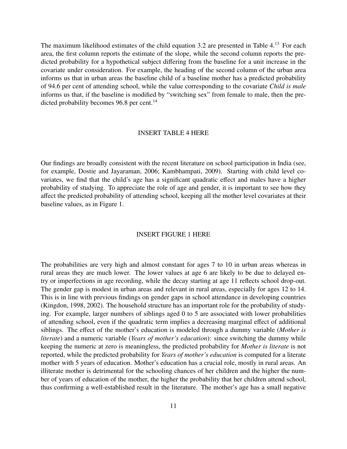The maximum likelihood estimates of the child equation 3.2 are presented in Table 4.<sup>13</sup> For each area, the first column reports the estimate of the slope, while the second column reports the predicted probability for a hypothetical subject differing from the baseline for a unit increase in the covariate under consideration. For example, the heading of the second column of the urban area informs us that in urban areas the baseline child of a baseline mother has a predicted probability of 94.6 per cent of attending school, while the value corresponding to the covariate *Child is male* informs us that, if the baseline is modified by "switching sex" from female to male, then the predicted probability becomes 96.8 per cent.<sup>14</sup>

### INSERT TABLE 4 HERE

Our findings are broadly consistent with the recent literature on school participation in India (see, for example, Dostie and Jayaraman, 2006; Kambhampati, 2009). Starting with child level covariates, we find that the child's age has a significant quadratic effect and males have a higher probability of studying. To appreciate the role of age and gender, it is important to see how they affect the predicted probability of attending school, keeping all the mother level covariates at their baseline values, as in Figure 1.

## INSERT FIGURE 1 HERE

The probabilities are very high and almost constant for ages 7 to 10 in urban areas whereas in rural areas they are much lower. The lower values at age 6 are likely to be due to delayed entry or imperfections in age recording, while the decay starting at age 11 reflects school drop-out. The gender gap is modest in urban areas and relevant in rural areas, especially for ages 12 to 14. This is in line with previous findings on gender gaps in school attendance in developing countries (Kingdon, 1998, 2002). The household structure has an important role for the probability of studying. For example, larger numbers of siblings aged 0 to 5 are associated with lower probabilities of attending school, even if the quadratic term implies a decreasing marginal effect of additional siblings. The effect of the mother's education is modeled through a dummy variable (*Mother is literate*) and a numeric variable (*Years of mother's education*): since switching the dummy while keeping the numeric at zero is meaningless, the predicted probability for *Mother is literate* is not reported, while the predicted probability for *Years of mother's education* is computed for a literate mother with 5 years of education. Mother's education has a crucial role, mostly in rural areas. An illiterate mother is detrimental for the schooling chances of her children and the higher the number of years of education of the mother, the higher the probability that her children attend school, thus confirming a well-established result in the literature. The mother's age has a small negative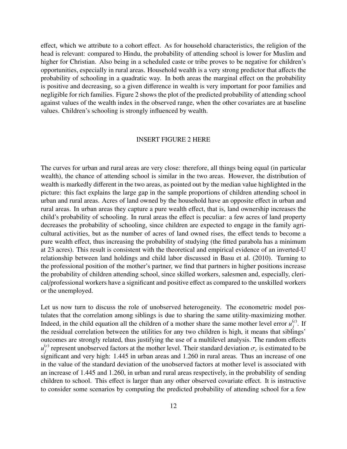effect, which we attribute to a cohort effect. As for household characteristics, the religion of the head is relevant: compared to Hindu, the probability of attending school is lower for Muslim and higher for Christian. Also being in a scheduled caste or tribe proves to be negative for children's opportunities, especially in rural areas. Household wealth is a very strong predictor that affects the probability of schooling in a quadratic way. In both areas the marginal effect on the probability is positive and decreasing, so a given difference in wealth is very important for poor families and negligible for rich families. Figure 2 shows the plot of the predicted probability of attending school against values of the wealth index in the observed range, when the other covariates are at baseline values. Children's schooling is strongly influenced by wealth.

#### INSERT FIGURE 2 HERE

The curves for urban and rural areas are very close: therefore, all things being equal (in particular wealth), the chance of attending school is similar in the two areas. However, the distribution of wealth is markedly different in the two areas, as pointed out by the median value highlighted in the picture: this fact explains the large gap in the sample proportions of children attending school in urban and rural areas. Acres of land owned by the household have an opposite effect in urban and rural areas. In urban areas they capture a pure wealth effect, that is, land ownership increases the child's probability of schooling. In rural areas the effect is peculiar: a few acres of land property decreases the probability of schooling, since children are expected to engage in the family agricultural activities, but as the number of acres of land owned rises, the effect tends to become a pure wealth effect, thus increasing the probability of studying (the fitted parabola has a minimum at 23 acres). This result is consistent with the theoretical and empirical evidence of an inverted-U relationship between land holdings and child labor discussed in Basu et al. (2010). Turning to the professional position of the mother's partner, we find that partners in higher positions increase the probability of children attending school, since skilled workers, salesmen and, especially, clerical/professional workers have a significant and positive effect as compared to the unskilled workers or the unemployed.

Let us now turn to discuss the role of unobserved heterogeneity. The econometric model postulates that the correlation among siblings is due to sharing the same utility-maximizing mother. Indeed, in the child equation all the children of a mother share the same mother level error  $u_i^{(c)}$  $j^c$ . If the residual correlation between the utilities for any two children is high, it means that siblings' outcomes are strongly related, thus justifying the use of a multilevel analysis. The random effects  $u_i^{(c)}$ <sup>*i*</sup> represent unobserved factors at the mother level. Their standard deviation  $\sigma_c$  is estimated to be antificant and very high: 1.445 in urban areas and 1.260 in rural areas. Thus an increase of one significant and very high: 1.445 in urban areas and 1.260 in rural areas. Thus an increase of one in the value of the standard deviation of the unobserved factors at mother level is associated with an increase of 1.445 and 1.260, in urban and rural areas respectively, in the probability of sending children to school. This effect is larger than any other observed covariate effect. It is instructive to consider some scenarios by computing the predicted probability of attending school for a few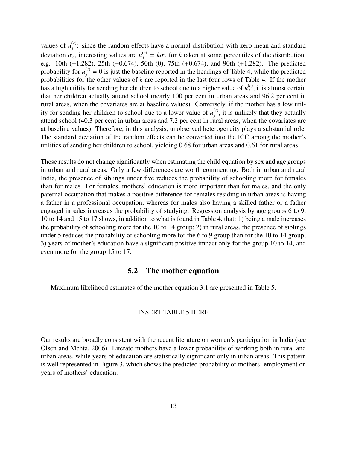values of  $u_i^{(c)}$  $j^{(c)}$ : since the random effects have a normal distribution with zero mean and standard deviation  $\sigma_c$ , interesting values are  $u_j^{(c)} = k\sigma_c$  for k taken at some percentiles of the distribution, e.g. 10th (-1.282), 25th (-0.674), 50th (0), 75th (+0.674), and 90th (+1.282). The predicted probability for  $u_j^{(c)} = 0$  is just the baseline reported in the headings of Table 4, while the predicted probabilities for the other values of *k* are reported in the last four rows of Table 4. If the mother has a high utility for sending her children to school due to a higher value of  $u_i^{(c)}$  $j^{(c)}$ , it is almost certain that her children actually attend school (nearly 100 per cent in urban areas and 96.2 per cent in rural areas, when the covariates are at baseline values). Conversely, if the mother has a low utility for sending her children to school due to a lower value of  $u_i^{(c)}$  $j^{(c)}$ , it is unlikely that they actually attend school (40.3 per cent in urban areas and 7.2 per cent in rural areas, when the covariates are at baseline values). Therefore, in this analysis, unobserved heterogeneity plays a substantial role. The standard deviation of the random effects can be converted into the ICC among the mother's utilities of sending her children to school, yielding 0.68 for urban areas and 0.61 for rural areas.

These results do not change significantly when estimating the child equation by sex and age groups in urban and rural areas. Only a few differences are worth commenting. Both in urban and rural India, the presence of siblings under five reduces the probability of schooling more for females than for males. For females, mothers' education is more important than for males, and the only paternal occupation that makes a positive difference for females residing in urban areas is having a father in a professional occupation, whereas for males also having a skilled father or a father engaged in sales increases the probability of studying. Regression analysis by age groups 6 to 9, 10 to 14 and 15 to 17 shows, in addition to what is found in Table 4, that: 1) being a male increases the probability of schooling more for the 10 to 14 group; 2) in rural areas, the presence of siblings under 5 reduces the probability of schooling more for the 6 to 9 group than for the 10 to 14 group; 3) years of mother's education have a significant positive impact only for the group 10 to 14, and even more for the group 15 to 17.

# 5.2 The mother equation

Maximum likelihood estimates of the mother equation 3.1 are presented in Table 5.

## INSERT TABLE 5 HERE

Our results are broadly consistent with the recent literature on women's participation in India (see Olsen and Mehta, 2006). Literate mothers have a lower probability of working both in rural and urban areas, while years of education are statistically significant only in urban areas. This pattern is well represented in Figure 3, which shows the predicted probability of mothers' employment on years of mothers' education.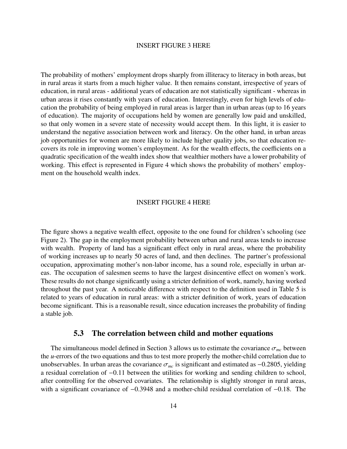### INSERT FIGURE 3 HERE

The probability of mothers' employment drops sharply from illiteracy to literacy in both areas, but in rural areas it starts from a much higher value. It then remains constant, irrespective of years of education, in rural areas - additional years of education are not statistically significant - whereas in urban areas it rises constantly with years of education. Interestingly, even for high levels of education the probability of being employed in rural areas is larger than in urban areas (up to 16 years of education). The majority of occupations held by women are generally low paid and unskilled, so that only women in a severe state of necessity would accept them. In this light, it is easier to understand the negative association between work and literacy. On the other hand, in urban areas job opportunities for women are more likely to include higher quality jobs, so that education recovers its role in improving women's employment. As for the wealth effects, the coefficients on a quadratic specification of the wealth index show that wealthier mothers have a lower probability of working. This effect is represented in Figure 4 which shows the probability of mothers' employment on the household wealth index.

## INSERT FIGURE 4 HERE

The figure shows a negative wealth effect, opposite to the one found for children's schooling (see Figure 2). The gap in the employment probability between urban and rural areas tends to increase with wealth. Property of land has a significant effect only in rural areas, where the probability of working increases up to nearly 50 acres of land, and then declines. The partner's professional occupation, approximating mother's non-labor income, has a sound role, especially in urban areas. The occupation of salesmen seems to have the largest disincentive effect on women's work. These results do not change significantly using a stricter definition of work, namely, having worked throughout the past year. A noticeable difference with respect to the definition used in Table 5 is related to years of education in rural areas: with a stricter definition of work, years of education become significant. This is a reasonable result, since education increases the probability of finding a stable job.

# 5.3 The correlation between child and mother equations

The simultaneous model defined in Section 3 allows us to estimate the covariance  $\sigma_{mc}$  between the *u*-errors of the two equations and thus to test more properly the mother-child correlation due to unobservables. In urban areas the covariance  $\sigma_{mc}$  is significant and estimated as  $-0.2805$ , yielding a residual correlation of <sup>−</sup>0.11 between the utilities for working and sending children to school, after controlling for the observed covariates. The relationship is slightly stronger in rural areas, with a significant covariance of <sup>−</sup>0.3948 and a mother-child residual correlation of <sup>−</sup>0.18. The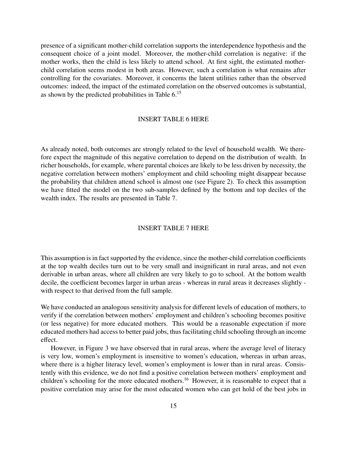presence of a significant mother-child correlation supports the interdependence hypothesis and the consequent choice of a joint model. Moreover, the mother-child correlation is negative: if the mother works, then the child is less likely to attend school. At first sight, the estimated motherchild correlation seems modest in both areas. However, such a correlation is what remains after controlling for the covariates. Moreover, it concerns the latent utilities rather than the observed outcomes: indeed, the impact of the estimated correlation on the observed outcomes is substantial, as shown by the predicted probabilities in Table 6.<sup>15</sup>

### INSERT TABLE 6 HERE

As already noted, both outcomes are strongly related to the level of household wealth. We therefore expect the magnitude of this negative correlation to depend on the distribution of wealth. In richer households, for example, where parental choices are likely to be less driven by necessity, the negative correlation between mothers' employment and child schooling might disappear because the probability that children attend school is almost one (see Figure 2). To check this assumption we have fitted the model on the two sub-samples defined by the bottom and top deciles of the wealth index. The results are presented in Table 7.

## INSERT TABLE 7 HERE

This assumption is in fact supported by the evidence, since the mother-child correlation coefficients at the top wealth deciles turn out to be very small and insignificant in rural areas, and not even derivable in urban areas, where all children are very likely to go to school. At the bottom wealth decile, the coefficient becomes larger in urban areas - whereas in rural areas it decreases slightly with respect to that derived from the full sample.

We have conducted an analogous sensitivity analysis for different levels of education of mothers, to verify if the correlation between mothers' employment and children's schooling becomes positive (or less negative) for more educated mothers. This would be a reasonable expectation if more educated mothers had access to better paid jobs, thus facilitating child schooling through an income effect.

However, in Figure 3 we have observed that in rural areas, where the average level of literacy is very low, women's employment is insensitive to women's education, whereas in urban areas, where there is a higher literacy level, women's employment is lower than in rural areas. Consistently with this evidence, we do not find a positive correlation between mothers' employment and children's schooling for the more educated mothers.<sup>16</sup> However, it is reasonable to expect that a positive correlation may arise for the most educated women who can get hold of the best jobs in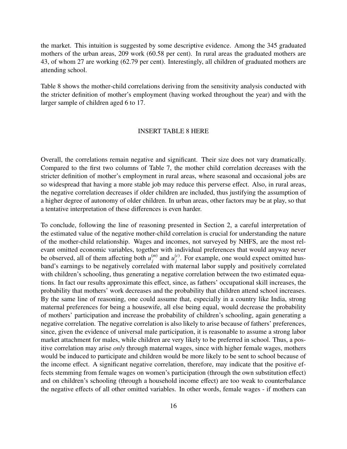the market. This intuition is suggested by some descriptive evidence. Among the 345 graduated mothers of the urban areas, 209 work (60.58 per cent). In rural areas the graduated mothers are 43, of whom 27 are working (62.79 per cent). Interestingly, all children of graduated mothers are attending school.

Table 8 shows the mother-child correlations deriving from the sensitivity analysis conducted with the stricter definition of mother's employment (having worked throughout the year) and with the larger sample of children aged 6 to 17.

### INSERT TABLE 8 HERE

Overall, the correlations remain negative and significant. Their size does not vary dramatically. Compared to the first two columns of Table 7, the mother child correlation decreases with the stricter definition of mother's employment in rural areas, where seasonal and occasional jobs are so widespread that having a more stable job may reduce this perverse effect. Also, in rural areas, the negative correlation decreases if older children are included, thus justifying the assumption of a higher degree of autonomy of older children. In urban areas, other factors may be at play, so that a tentative interpretation of these differences is even harder.

To conclude, following the line of reasoning presented in Section 2, a careful interpretation of the estimated value of the negative mother-child correlation is crucial for understanding the nature of the mother-child relationship. Wages and incomes, not surveyed by NHFS, are the most relevant omitted economic variables, together with individual preferences that would anyway never be observed, all of them affecting both  $u_i^{(m)}$  $\binom{m}{j}$  and  $u_j^{(c)}$  $j^{\left(c\right)}$ . For example, one would expect omitted husband's earnings to be negatively correlated with maternal labor supply and positively correlated with children's schooling, thus generating a negative correlation between the two estimated equations. In fact our results approximate this effect, since, as fathers' occupational skill increases, the probability that mothers' work decreases and the probability that children attend school increases. By the same line of reasoning, one could assume that, especially in a country like India, strong maternal preferences for being a housewife, all else being equal, would decrease the probability of mothers' participation and increase the probability of children's schooling, again generating a negative correlation. The negative correlation is also likely to arise because of fathers' preferences, since, given the evidence of universal male participation, it is reasonable to assume a strong labor market attachment for males, while children are very likely to be preferred in school. Thus, a positive correlation may arise *only* through maternal wages, since with higher female wages, mothers would be induced to participate and children would be more likely to be sent to school because of the income effect. A significant negative correlation, therefore, may indicate that the positive effects stemming from female wages on women's participation (through the own substitution effect) and on children's schooling (through a household income effect) are too weak to counterbalance the negative effects of all other omitted variables. In other words, female wages - if mothers can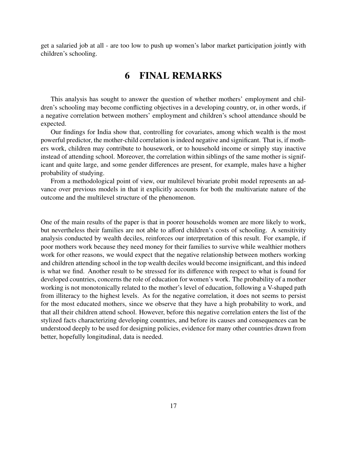get a salaried job at all - are too low to push up women's labor market participation jointly with children's schooling.

# 6 FINAL REMARKS

This analysis has sought to answer the question of whether mothers' employment and children's schooling may become conflicting objectives in a developing country, or, in other words, if a negative correlation between mothers' employment and children's school attendance should be expected.

Our findings for India show that, controlling for covariates, among which wealth is the most powerful predictor, the mother-child correlation is indeed negative and significant. That is, if mothers work, children may contribute to housework, or to household income or simply stay inactive instead of attending school. Moreover, the correlation within siblings of the same mother is significant and quite large, and some gender differences are present, for example, males have a higher probability of studying.

From a methodological point of view, our multilevel bivariate probit model represents an advance over previous models in that it explicitly accounts for both the multivariate nature of the outcome and the multilevel structure of the phenomenon.

One of the main results of the paper is that in poorer households women are more likely to work, but nevertheless their families are not able to afford children's costs of schooling. A sensitivity analysis conducted by wealth deciles, reinforces our interpretation of this result. For example, if poor mothers work because they need money for their families to survive while wealthier mothers work for other reasons, we would expect that the negative relationship between mothers working and children attending school in the top wealth deciles would become insignificant, and this indeed is what we find. Another result to be stressed for its difference with respect to what is found for developed countries, concerns the role of education for women's work. The probability of a mother working is not monotonically related to the mother's level of education, following a V-shaped path from illiteracy to the highest levels. As for the negative correlation, it does not seems to persist for the most educated mothers, since we observe that they have a high probability to work, and that all their children attend school. However, before this negative correlation enters the list of the stylized facts characterizing developing countries, and before its causes and consequences can be understood deeply to be used for designing policies, evidence for many other countries drawn from better, hopefully longitudinal, data is needed.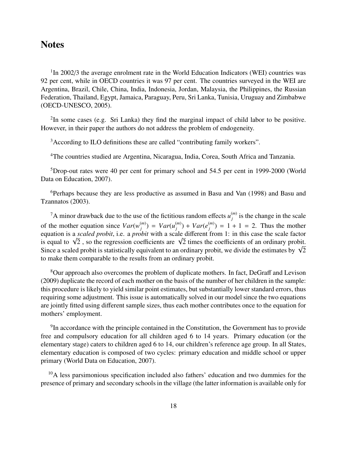# **Notes**

<sup>1</sup>In 2002/3 the average enrolment rate in the World Education Indicators (WEI) countries was 92 per cent, while in OECD countries it was 97 per cent. The countries surveyed in the WEI are Argentina, Brazil, Chile, China, India, Indonesia, Jordan, Malaysia, the Philippines, the Russian Federation, Thailand, Egypt, Jamaica, Paraguay, Peru, Sri Lanka, Tunisia, Uruguay and Zimbabwe (OECD-UNESCO, 2005).

 $2$ In some cases (e.g. Sri Lanka) they find the marginal impact of child labor to be positive. However, in their paper the authors do not address the problem of endogeneity.

<sup>3</sup>According to ILO definitions these are called "contributing family workers".

<sup>4</sup>The countries studied are Argentina, Nicaragua, India, Corea, South Africa and Tanzania.

<sup>5</sup>Drop-out rates were 40 per cent for primary school and 54.5 per cent in 1999-2000 (World Data on Education, 2007).

<sup>6</sup>Perhaps because they are less productive as assumed in Basu and Van (1998) and Basu and Tzannatos (2003).

<sup>7</sup>A minor drawback due to the use of the fictitious random effects  $u_i^{(m)}$  $j_j^{(m)}$  is the change in the scale of the mother equation since  $Var(w_i^{(m)})$  $y_j^{(m)}$ ) =  $Var(u_j^{(m)})$  $y_j^{(m)}$  + *Var*( $e_j^{(m)}$ )  $j^{(m)}$ ) = 1 + 1 = 2. Thus the mother equation is a *scaled probit*, i.e. a *probit* with a scale different from 1: in this case the scale factor equation is a *scaled probit*, i.e. a *probit* with a scale different from 1: in this case the scale factor is equal to  $\sqrt{2}$ , so the regression coefficients are  $\sqrt{2}$  times the coefficients of an ordinary probit. is equal to  $\nabla z$ , so the regression coefficients are  $\nabla z$  times the coefficients of an ordinary probit.<br>Since a scaled probit is statistically equivalent to an ordinary probit, we divide the estimates by  $\sqrt{2}$ to make them comparable to the results from an ordinary probit.

<sup>8</sup>Our approach also overcomes the problem of duplicate mothers. In fact, DeGraff and Levison (2009) duplicate the record of each mother on the basis of the number of her children in the sample: this procedure is likely to yield similar point estimates, but substantially lower standard errors, thus requiring some adjustment. This issue is automatically solved in our model since the two equations are jointly fitted using different sample sizes, thus each mother contributes once to the equation for mothers' employment.

<sup>9</sup>In accordance with the principle contained in the Constitution, the Government has to provide free and compulsory education for all children aged 6 to 14 years. Primary education (or the elementary stage) caters to children aged 6 to 14, our children's reference age group. In all States, elementary education is composed of two cycles: primary education and middle school or upper primary (World Data on Education, 2007).

<sup>10</sup>A less parsimonious specification included also fathers' education and two dummies for the presence of primary and secondary schools in the village (the latter information is available only for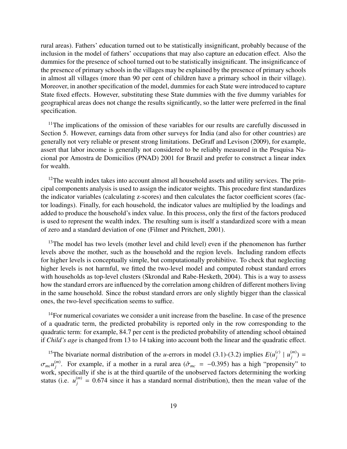rural areas). Fathers' education turned out to be statistically insignificant, probably because of the inclusion in the model of fathers' occupations that may also capture an education effect. Also the dummies for the presence of school turned out to be statistically insignificant. The insignificance of the presence of primary schools in the villages may be explained by the presence of primary schools in almost all villages (more than 90 per cent of children have a primary school in their village). Moreover, in another specification of the model, dummies for each State were introduced to capture State fixed effects. However, substituting these State dummies with the five dummy variables for geographical areas does not change the results significantly, so the latter were preferred in the final specification.

<sup>11</sup>The implications of the omission of these variables for our results are carefully discussed in Section 5. However, earnings data from other surveys for India (and also for other countries) are generally not very reliable or present strong limitations. DeGraff and Levison (2009), for example, assert that labor income is generally not considered to be reliably measured in the Pesquisa Nacional por Amostra de Domicilios (PNAD) 2001 for Brazil and prefer to construct a linear index for wealth.

 $12$ The wealth index takes into account almost all household assets and utility services. The principal components analysis is used to assign the indicator weights. This procedure first standardizes the indicator variables (calculating z-scores) and then calculates the factor coefficient scores (factor loadings). Finally, for each household, the indicator values are multiplied by the loadings and added to produce the household's index value. In this process, only the first of the factors produced is used to represent the wealth index. The resulting sum is itself a standardized score with a mean of zero and a standard deviation of one (Filmer and Pritchett, 2001).

<sup>13</sup>The model has two levels (mother level and child level) even if the phenomenon has further levels above the mother, such as the household and the region levels. Including random effects for higher levels is conceptually simple, but computationally prohibitive. To check that neglecting higher levels is not harmful, we fitted the two-level model and computed robust standard errors with households as top-level clusters (Skrondal and Rabe-Hesketh, 2004). This is a way to assess how the standard errors are influenced by the correlation among children of different mothers living in the same household. Since the robust standard errors are only slightly bigger than the classical ones, the two-level specification seems to suffice.

<sup>14</sup>For numerical covariates we consider a unit increase from the baseline. In case of the presence of a quadratic term, the predicted probability is reported only in the row corresponding to the quadratic term: for example, 84.7 per cent is the predicted probability of attending school obtained if *Child's age* is changed from 13 to 14 taking into account both the linear and the quadratic effect.

<sup>15</sup>The bivariate normal distribution of the *u*-errors in model (3.1)-(3.2) implies  $E(u_i^{(c)})$  $\left\{ \begin{array}{c} (c) \\ j \end{array} \right\}$   $u_j^{(m)}$  $\binom{m}{j}$  =  $\sigma_{mc}u_j^{(m)}$ <br>work s  $\sigma_{mc}u_j^{(m)}$ . For example, if a mother in a rural area ( $\hat{\sigma}_{mc} = -0.395$ ) has a high "propensity" to work, specifically if she is at the third quartile of the unobserved factors determining the working status (i.e.  $u_j^{(m)} = 0.674$  since it has a standard normal distribution), then the mean value of the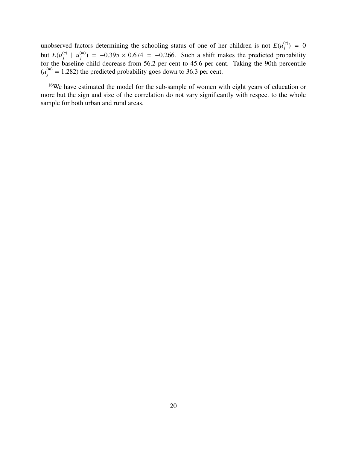unobserved factors determining the schooling status of one of her children is not  $E(u_i^{(c)})$  $j^{(c)}$ ) = 0 but  $E(u_i^{(c)})$  $\begin{array}{c} (c) \\ j \end{array}$  |  $u_j^{(m)}$ but  $E(u_j^{(c)} | u_j^{(m)}) = -0.395 \times 0.674 = -0.266$ . Such a shift makes the predicted probability for the baseline child decrease from 56.2 per cent to 45.6 per cent. Taking the 90th percentile  $(u_j^{(m)} = 1.282)$  the predicted probability goes down to 36.3 per cent.

<sup>16</sup>We have estimated the model for the sub-sample of women with eight years of education or more but the sign and size of the correlation do not vary significantly with respect to the whole sample for both urban and rural areas.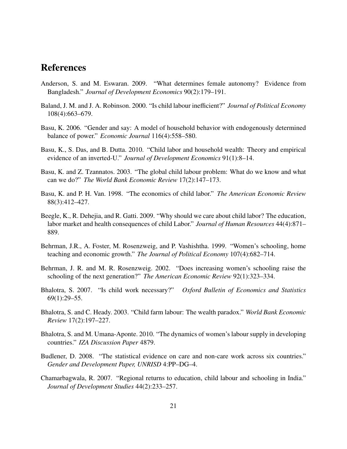# References

- Anderson, S. and M. Eswaran. 2009. "What determines female autonomy? Evidence from Bangladesh." *Journal of Development Economics* 90(2):179–191.
- Baland, J. M. and J. A. Robinson. 2000. "Is child labour inefficient?" *Journal of Political Economy* 108(4):663–679.
- Basu, K. 2006. "Gender and say: A model of household behavior with endogenously determined balance of power." *Economic Journal* 116(4):558–580.
- Basu, K., S. Das, and B. Dutta. 2010. "Child labor and household wealth: Theory and empirical evidence of an inverted-U." *Journal of Development Economics* 91(1):8–14.
- Basu, K. and Z. Tzannatos. 2003. "The global child labour problem: What do we know and what can we do?" *The World Bank Economic Review* 17(2):147–173.
- Basu, K. and P. H. Van. 1998. "The economics of child labor." *The American Economic Review* 88(3):412–427.
- Beegle, K., R. Dehejia, and R. Gatti. 2009. "Why should we care about child labor? The education, labor market and health consequences of child Labor." *Journal of Human Resources* 44(4):871– 889.
- Behrman, J.R., A. Foster, M. Rosenzweig, and P. Vashishtha. 1999. "Women's schooling, home teaching and economic growth." *The Journal of Political Economy* 107(4):682–714.
- Behrman, J. R. and M. R. Rosenzweig. 2002. "Does increasing women's schooling raise the schooling of the next generation?" *The American Economic Review* 92(1):323–334.
- Bhalotra, S. 2007. "Is child work necessary?" *Oxford Bulletin of Economics and Statistics* 69(1):29–55.
- Bhalotra, S. and C. Heady. 2003. "Child farm labour: The wealth paradox." *World Bank Economic Review* 17(2):197–227.
- Bhalotra, S. and M. Umana-Aponte. 2010. "The dynamics of women's labour supply in developing countries." *IZA Discussion Paper* 4879.
- Budlener, D. 2008. "The statistical evidence on care and non-care work across six countries." *Gender and Development Paper, UNRISD* 4:PP–DG–4.
- Chamarbagwala, R. 2007. "Regional returns to education, child labour and schooling in India." *Journal of Development Studies* 44(2):233–257.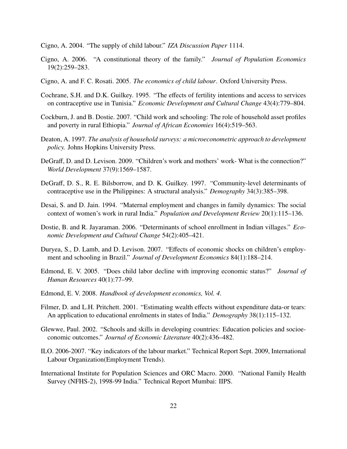- Cigno, A. 2004. "The supply of child labour." *IZA Discussion Paper* 1114.
- Cigno, A. 2006. "A constitutional theory of the family." *Journal of Population Economics* 19(2):259–283.
- Cigno, A. and F. C. Rosati. 2005. *The economics of child labour*. Oxford University Press.
- Cochrane, S.H. and D.K. Guilkey. 1995. "The effects of fertility intentions and access to services on contraceptive use in Tunisia." *Economic Development and Cultural Change* 43(4):779–804.
- Cockburn, J. and B. Dostie. 2007. "Child work and schooling: The role of household asset profiles and poverty in rural Ethiopia." *Journal of African Economies* 16(4):519–563.
- Deaton, A. 1997. *The analysis of household surveys: a microeconometric approach to development policy.* Johns Hopkins University Press.
- DeGraff, D. and D. Levison. 2009. "Children's work and mothers' work- What is the connection?" *World Development* 37(9):1569–1587.
- DeGraff, D. S., R. E. Bilsborrow, and D. K. Guilkey. 1997. "Community-level determinants of contraceptive use in the Philippines: A structural analysis." *Demography* 34(3):385–398.
- Desai, S. and D. Jain. 1994. "Maternal employment and changes in family dynamics: The social context of women's work in rural India." *Population and Development Review* 20(1):115–136.
- Dostie, B. and R. Jayaraman. 2006. "Determinants of school enrollment in Indian villages." *Economic Development and Cultural Change* 54(2):405–421.
- Duryea, S., D. Lamb, and D. Levison. 2007. "Effects of economic shocks on children's employment and schooling in Brazil." *Journal of Development Economics* 84(1):188–214.
- Edmond, E. V. 2005. "Does child labor decline with improving economic status?" *Journal of Human Resources* 40(1):77–99.
- Edmond, E. V. 2008. *Handbook of development economics, Vol. 4*.
- Filmer, D. and L.H. Pritchett. 2001. "Estimating wealth effects without expenditure data-or tears: An application to educational enrolments in states of India." *Demography* 38(1):115–132.
- Glewwe, Paul. 2002. "Schools and skills in developing countries: Education policies and socioeconomic outcomes." *Journal of Economic Literature* 40(2):436–482.
- ILO. 2006-2007. "Key indicators of the labour market." Technical Report Sept. 2009, International Labour Organization(Employment Trends).
- International Institute for Population Sciences and ORC Macro. 2000. "National Family Health Survey (NFHS-2), 1998-99 India." Technical Report Mumbai: IIPS.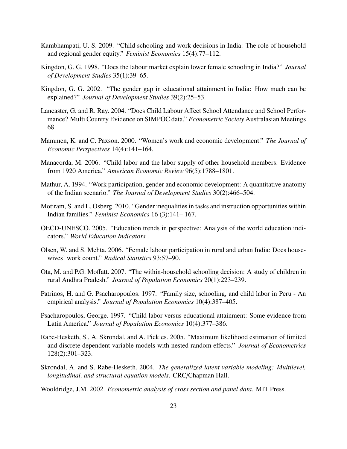- Kambhampati, U. S. 2009. "Child schooling and work decisions in India: The role of household and regional gender equity." *Feminist Economics* 15(4):77–112.
- Kingdon, G. G. 1998. "Does the labour market explain lower female schooling in India?" *Journal of Development Studies* 35(1):39–65.
- Kingdon, G. G. 2002. "The gender gap in educational attainment in India: How much can be explained?" *Journal of Development Studies* 39(2):25–53.
- Lancaster, G. and R. Ray. 2004. "Does Child Labour Affect School Attendance and School Performance? Multi Country Evidence on SIMPOC data." *Econometric Society* Australasian Meetings 68.
- Mammen, K. and C. Paxson. 2000. "Women's work and economic development." *The Journal of Economic Perspectives* 14(4):141–164.
- Manacorda, M. 2006. "Child labor and the labor supply of other household members: Evidence from 1920 America." *American Economic Review* 96(5):1788–1801.
- Mathur, A. 1994. "Work participation, gender and economic development: A quantitative anatomy of the Indian scenario." *The Journal of Development Studies* 30(2):466–504.
- Motiram, S. and L. Osberg. 2010. "Gender inequalities in tasks and instruction opportunities within Indian families." *Feminist Economics* 16 (3):141– 167.
- OECD-UNESCO. 2005. "Education trends in perspective: Analysis of the world education indicators." *World Education Indicators* .
- Olsen, W. and S. Mehta. 2006. "Female labour participation in rural and urban India: Does housewives' work count." *Radical Statistics* 93:57–90.
- Ota, M. and P.G. Moffatt. 2007. "The within-household schooling decision: A study of children in rural Andhra Pradesh." *Journal of Population Economics* 20(1):223–239.
- Patrinos, H. and G. Psacharopoulos. 1997. "Family size, schooling, and child labor in Peru An empirical analysis." *Journal of Population Economics* 10(4):387–405.
- Psacharopoulos, George. 1997. "Child labor versus educational attainment: Some evidence from Latin America." *Journal of Population Economics* 10(4):377–386.
- Rabe-Hesketh, S., A. Skrondal, and A. Pickles. 2005. "Maximum likelihood estimation of limited and discrete dependent variable models with nested random effects." *Journal of Econometrics* 128(2):301–323.
- Skrondal, A. and S. Rabe-Hesketh. 2004. *The generalized latent variable modeling: Multilevel, longitudinal, and structural equation models*. CRC/Chapman Hall.
- Wooldridge, J.M. 2002. *Econometric analysis of cross section and panel data*. MIT Press.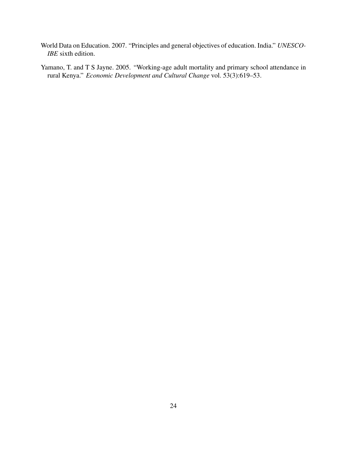- World Data on Education. 2007. "Principles and general objectives of education. India." *UNESCO-IBE* sixth edition.
- Yamano, T. and T S Jayne. 2005. "Working-age adult mortality and primary school attendance in rural Kenya." *Economic Development and Cultural Change* vol. 53(3):619–53.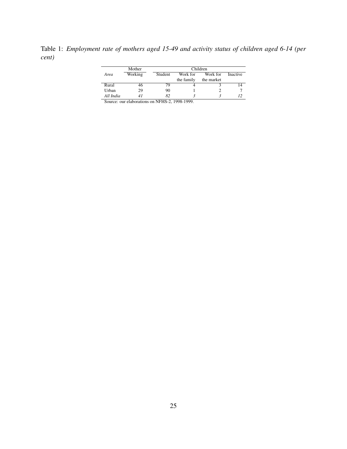Table 1: *Employment rate of mothers aged 15-49 and activity status of children aged 6-14 (per cent)*

|           | Mother  |         | Children   |            |                 |  |
|-----------|---------|---------|------------|------------|-----------------|--|
| Area      | Working | Student | Work for   | Work for   | <b>Inactive</b> |  |
|           |         |         | the family | the market |                 |  |
| Rural     | 46      | 79      |            |            |                 |  |
| Urban     | 29      | 90      |            |            |                 |  |
| All India |         | 82      |            |            |                 |  |

| Source: our elaborations on NFHS-2, 1998-1999. |  |
|------------------------------------------------|--|
|------------------------------------------------|--|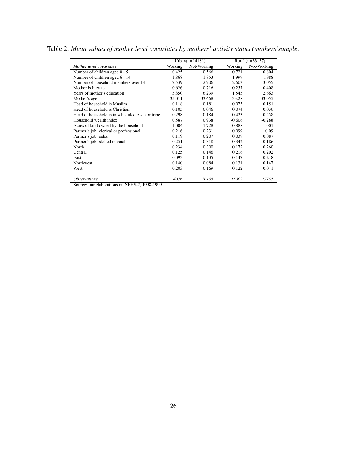Table 2: *Mean values of mother level covariates by mothers' activity status (mothers'sample)*

|                                                  |         | $Urban(n=14181)$ |          | Rural $(n=33137)$ |
|--------------------------------------------------|---------|------------------|----------|-------------------|
| Mother level covariates                          | Working | Not-Working      | Working  | Not-Working       |
| Number of children aged 0 - 5                    | 0.425   | 0.566            | 0.721    | 0.804             |
| Number of children aged 6 - 14                   | 1.868   | 1.853            | 1.999    | 1.988             |
| Number of household members over 14              | 2.539   | 2.906            | 2.603    | 3.055             |
| Mother is literate                               | 0.626   | 0.716            | 0.257    | 0.408             |
| Years of mother's education                      | 5.850   | 6.239            | 1.545    | 2.663             |
| Mother's age                                     | 35.011  | 33.668           | 33.28    | 33.055            |
| Head of household is Muslim                      | 0.118   | 0.181            | 0.075    | 0.151             |
| Head of household is Christian                   | 0.105   | 0.046            | 0.074    | 0.036             |
| Head of household is in scheduled caste or tribe | 0.298   | 0.184            | 0.423    | 0.258             |
| Household wealth index                           | 0.587   | 0.938            | $-0.606$ | $-0.288$          |
| Acres of land owned by the household             | 1.004   | 1.728            | 0.888    | 1.001             |
| Partner's job: clerical or professional          | 0.216   | 0.231            | 0.099    | 0.09              |
| Partner's job: sales                             | 0.119   | 0.207            | 0.039    | 0.087             |
| Partner's job: skilled manual                    | 0.251   | 0.318            | 0.342    | 0.186             |
| North                                            | 0.234   | 0.300            | 0.172    | 0.260             |
| Central                                          | 0.125   | 0.146            | 0.216    | 0.202             |
| East                                             | 0.093   | 0.135            | 0.147    | 0.248             |
| Northwest                                        | 0.140   | 0.084            | 0.131    | 0.147             |
| West                                             | 0.203   | 0.169            | 0.122    | 0.041             |
|                                                  |         |                  |          |                   |
| <i><b>Observations</b></i><br>.                  | 4076    | 10105            | 15302    | 17755             |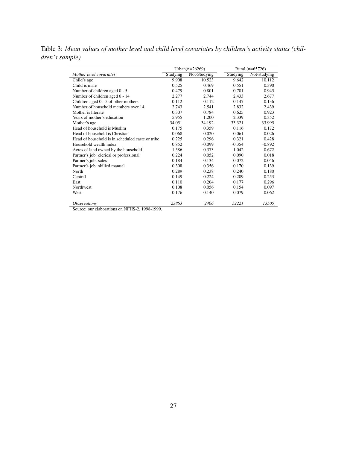Table 3: *Mean values of mother level and child level covariates by children's activity status (children's sample)*

|                                                  |          | Urban $(n=26269)$ |          | Rural $(n=65726)$ |
|--------------------------------------------------|----------|-------------------|----------|-------------------|
| Mother level covariates                          | Studying | Not-Studying      | Studying | Not-studying      |
| Child's age                                      | 9.908    | 10.523            | 9.642    | 10.112            |
| Child is male                                    | 0.525    | 0.469             | 0.551    | 0.390             |
| Number of children aged 0 - 5                    | 0.479    | 0.801             | 0.701    | 0.945             |
| Number of children aged 6 - 14                   | 2.277    | 2.744             | 2.433    | 2.677             |
| Children aged $0 - 5$ of other mothers           | 0.112    | 0.112             | 0.147    | 0.136             |
| Number of household members over 14              | 2.743    | 2.541             | 2.832    | 2.439             |
| Mother is literate                               | 0.307    | 0.784             | 0.625    | 0.923             |
| Years of mother's education                      | 5.955    | 1.200             | 2.339    | 0.352             |
| Mother's age                                     | 34.051   | 34.192            | 33.321   | 33.995            |
| Head of household is Muslim                      | 0.175    | 0.359             | 0.116    | 0.172             |
| Head of household is Christian                   | 0.068    | 0.020             | 0.061    | 0.026             |
| Head of household is in scheduled caste or tribe | 0.225    | 0.296             | 0.321    | 0.428             |
| Household wealth index                           | 0.852    | $-0.099$          | $-0.354$ | $-0.892$          |
| Acres of land owned by the household             | 1.586    | 0.373             | 1.042    | 0.672             |
| Partner's job: clerical or professional          | 0.224    | 0.052             | 0.090    | 0.018             |
| Partner's job: sales                             | 0.184    | 0.134             | 0.072    | 0.046             |
| Partner's job: skilled manual                    | 0.308    | 0.356             | 0.170    | 0.139             |
| North                                            | 0.289    | 0.238             | 0.240    | 0.180             |
| Central                                          | 0.149    | 0.224             | 0.209    | 0.253             |
| East                                             | 0.110    | 0.204             | 0.177    | 0.296             |
| Northwest                                        | 0.108    | 0.056             | 0.154    | 0.097             |
| West                                             | 0.176    | 0.140             | 0.079    | 0.062             |
| <i><b>Observations</b></i>                       | 23863    | 2406              | 52221    | 13505             |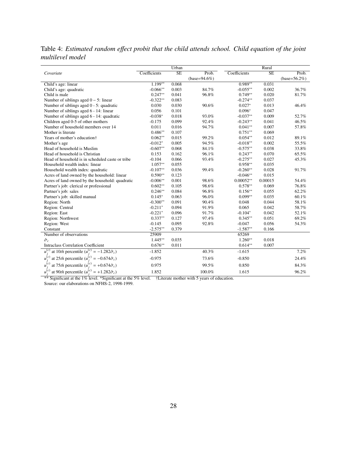Table 4: *Estimated random e*ff*ect probit that the child attends school. Child equation of the joint multilevel model*

|                                                                         |              | Urban                  |                                             |              | Rural   |                   |
|-------------------------------------------------------------------------|--------------|------------------------|---------------------------------------------|--------------|---------|-------------------|
| Covariate                                                               | Coefficients | $\overline{\text{SE}}$ | Prob.                                       | Coefficients | SE      | Prob.             |
|                                                                         |              |                        | $(base = 94.6\%)$                           |              |         | $(base = 56.2\%)$ |
| Child's age: linear                                                     | $1.199**$    | 0.068                  |                                             | $0.989**$    | 0.031   |                   |
| Child's age: quadratic                                                  | $-0.066**$   | 0.003                  | 84.7%                                       | $-0.055**$   | 0.002   | 36.7%             |
| Child is male                                                           | $0.247**$    | 0.041                  | 96.8%                                       | $0.749**$    | 0.020   | 81.7%             |
| Number of siblings aged $0 - 5$ : linear                                | $-0.322**$   | 0.083                  |                                             | $-0.274**$   | 0.037   |                   |
| Number of siblings aged 0 - 5: quadratic                                | 0.030        | 0.030                  | 90.6%                                       | $0.027*$     | 0.013   | 46.4%             |
| Number of siblings aged 6 - 14: linear                                  | 0.056        | 0.101                  |                                             | $0.096*$     | 0.047   |                   |
| Number of siblings aged 6 - 14: quadratic                               | $-0.038*$    | 0.018                  | 93.0%                                       | $-0.037**$   | 0.009   | 52.7%             |
| Children aged 0-5 of other mothers                                      | $-0.175$     | 0.099                  | 92.4%                                       | $-0.243**$   | 0.041   | 46.5%             |
| Number of household members over 14                                     | 0.011        | 0.016                  | 94.7%                                       | $0.041**$    | 0.007   | 57.8%             |
| Mother is literate                                                      | $0.486**$    | 0.107                  |                                             | $0.751**$    | 0.069   |                   |
| Years of mother's education†                                            | $0.062**$    | 0.015                  | 99.2%                                       | $0.054**$    | 0.012   | 89.1%             |
| Mother's age                                                            | $-0.012*$    | 0.005                  | 94.5%                                       | $-0.018**$   | 0.002   | 55.5%             |
| Head of household is Muslim                                             | $-0.607**$   | 0.068                  | 84.1%                                       | $-0.575**$   | 0.038   | 33.8%             |
| Head of household is Christian                                          | 0.153        | 0.162                  | 96.1%                                       | $0.243**$    | 0.070   | 65.5%             |
| Head of household is in scheduled caste or tribe                        | $-0.104$     | 0.066                  | 93.4%                                       | $-0.275**$   | 0.027   | 45.3%             |
| Household wealth index: linear                                          | $1.057**$    | 0.055                  |                                             | $0.958**$    | 0.035   |                   |
| Household wealth index: quadratic                                       | $-0.107**$   | 0.036                  | 99.4%                                       | $-0.260**$   | 0.028   | 91.7%             |
| Acres of land owned by the household: linear                            | $0.590**$    | 0.123                  |                                             | $-0.046**$   | 0.015   |                   |
| Acres of land owned by the household: quadratic                         | $-0.006**$   | 0.001                  | 98.6%                                       | $0.00052**$  | 0.00015 | 54.4%             |
| Partner's job: clerical or professional                                 | $0.602**$    | 0.105                  | 98.6%                                       | $0.578**$    | 0.069   | 76.8%             |
| Partner's job: sales                                                    | $0.246**$    | 0.084                  | 96.8%                                       | $0.156**$    | 0.055   | 62.2%             |
| Partner's job: skilled manual                                           | $0.145*$     | 0.063                  | 96.0%                                       | $0.099**$    | 0.035   | 60.1%             |
| Region: North                                                           | $-0.300**$   | 0.091                  | 90.4%                                       | 0.048        | 0.044   | 58.1%             |
| Region: Central                                                         | $-0.211*$    | 0.094                  | 91.9%                                       | 0.065        | 0.042   | 58.7%             |
| Region: East                                                            | $-0.221*$    | 0.096                  | 91.7%                                       | $-0.104*$    | 0.042   | 52.1%             |
| Region: Northwest                                                       | $0.337**$    | 0.127                  | 97.4%                                       | $0.345**$    | 0.051   | 69.2%             |
| Region: West                                                            | $-0.145$     | 0.095                  | 92.8%                                       | $-0.047$     | 0.056   | 54.3%             |
| Constant                                                                | $-2.575**$   | 0.379                  |                                             | $-1.587**$   | 0.166   |                   |
| Number of observations                                                  | 25909        |                        |                                             | 65269        |         |                   |
| $\hat{\sigma}_c$                                                        | $1.445**$    | 0.035                  |                                             | $1.260**$    | 0.018   |                   |
| <b>Intraclass Correlation Coefficient</b>                               | $0.676**$    | 0.011                  |                                             | $0.614**$    | 0.007   |                   |
| $u_i^{(c)}$<br>at 10th percentile $(u_i^{(c)} = -1.282 \hat{\sigma}_c)$ | $-1.852$     |                        | 40.3%                                       | $-1.615$     |         | 7.2%              |
| $u_j^{(c)}$<br>at 25th percentile $(u_i^{(c)} = -0.674 \hat{\sigma}_c)$ | $-0.975$     |                        | 73.6%                                       | $-0.850$     |         | 24.4%             |
| $u_j^{(c)}$<br>at 75th percentile $(u_i^{(c)} = +0.674 \hat{\sigma}_c)$ | 0.975        |                        | 99.5%                                       | 0.850        |         | 84.3%             |
| at 90th percentile $(u_i^{(c)} = +1.282 \hat{\sigma}_c)$                | 1.852        |                        | 100.0%                                      | 1.615        |         | 96.2%             |
| ** Significant at the 1% level. *Significant at the 5% level.           |              |                        | †Literate mother with 5 years of education. |              |         |                   |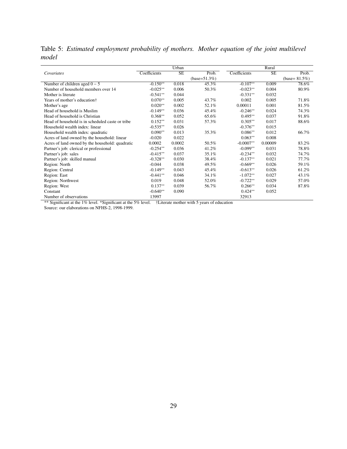Table 5: *Estimated employment probability of mothers. Mother equation of the joint multilevel model*

|                                                  |              | Urban  |                  |              | Rural   |                   |
|--------------------------------------------------|--------------|--------|------------------|--------------|---------|-------------------|
| Covariates                                       | Coefficients | SE     | Prob.            | Coefficients | SE      | Prob.             |
|                                                  |              |        | $(base = 51.3%)$ |              |         | $(base = 81.5\%)$ |
| Number of children aged $0 - 5$                  | $-0.150**$   | 0.018  | 45.3%            | $-0.107**$   | 0.009   | 78.6%             |
| Number of household members over 14              | $-0.025**$   | 0.006  | 50.3%            | $-0.023**$   | 0.004   | 80.9%             |
| Mother is literate                               | $-0.541**$   | 0.044  |                  | $-0.331**$   | 0.032   |                   |
| Years of mother's education†                     | $0.070**$    | 0.005  | 43.7%            | 0.002        | 0.005   | 71.8%             |
| Mother's age                                     | $0.020**$    | 0.002  | 52.1%            | 0.00011      | 0.001   | 81.5%             |
| Head of household is Muslim                      | $-0.149**$   | 0.036  | 45.4%            | $-0.246**$   | 0.024   | 74.3%             |
| Head of household is Christian                   | $0.368**$    | 0.052  | 65.6%            | $0.495**$    | 0.037   | 91.8%             |
| Head of household is in scheduled caste or tribe | $0.152**$    | 0.031  | 57.3%            | $0.305**$    | 0.017   | 88.6%             |
| Household wealth index: linear                   | $-0.535**$   | 0.026  |                  | $-0.376**$   | 0.015   |                   |
| Household wealth index: quadratic                | $0.090**$    | 0.013  | 35.3%            | $0.086**$    | 0.012   | 66.7%             |
| Acres of land owned by the household: linear     | $-0.020$     | 0.022  |                  | $0.063**$    | 0.008   |                   |
| Acres of land owned by the household: quadratic  | 0.0002       | 0.0002 | 50.5%            | $-0.0007**$  | 0.00009 | 83.2%             |
| Partner's job: clerical or professional          | $-0.254**$   | 0.036  | 41.2%            | $-0.099**$   | 0.031   | 78.8%             |
| Partner's job: sales                             | $-0.415**$   | 0.037  | 35.1%            | $-0.234**$   | 0.032   | 74.7%             |
| Partner's job: skilled manual                    | $-0.328**$   | 0.030  | 38.4%            | $-0.137**$   | 0.021   | 77.7%             |
| Region: North                                    | $-0.044$     | 0.038  | 49.5%            | $-0.669**$   | 0.026   | 59.1%             |
| Region: Central                                  | $-0.149**$   | 0.043  | 45.4%            | $-0.613**$   | 0.026   | 61.2%             |
| Region: East                                     | $-0.441**$   | 0.046  | 34.1%            | $-1.072**$   | 0.027   | 43.1%             |
| Region: Northwest                                | 0.019        | 0.048  | 52.0%            | $-0.722**$   | 0.029   | 57.0%             |
| Region: West                                     | $0.137**$    | 0.039  | 56.7%            | $0.266**$    | 0.034   | 87.8%             |
| Constant                                         | $-0.640**$   | 0.090  |                  | $0.424**$    | 0.052   |                   |
| Number of observations                           | 13997        |        |                  | 32913        |         |                   |

\*\* Significant at the 1% level. \*Significant at the 5% level. †Literate mother with 5 years of education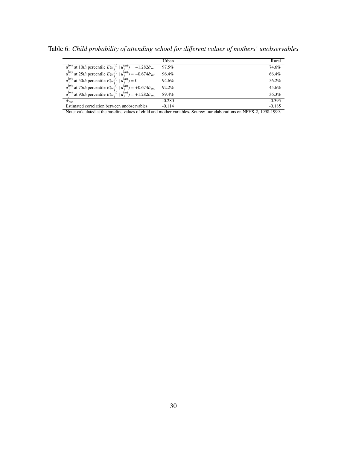Table 6: *Child probability of attending school for di*ff*erent values of mothers' unobservables*

|                                                                                      | Urban                                       | Rural                                                                                             |
|--------------------------------------------------------------------------------------|---------------------------------------------|---------------------------------------------------------------------------------------------------|
| $u_j^{(m)}$ at 10th percentile $E(u_j^{(c)}   u_j^{(m)}) = -1.282 \hat{\sigma}_{mc}$ | 97.5%                                       | 74.6%                                                                                             |
| $u_j^{(m)}$ at 25th percentile $E(u_j^{(c)}   u_j^{(m)}) = -0.674 \hat{\sigma}_{mc}$ | 96.4%                                       | 66.4%                                                                                             |
| $u_j^{(m)}$ at 50th percentile $E(u_j^{(c)}   u_j^{(m)}) = 0$                        | 94.6%                                       | 56.2%                                                                                             |
| $u_i^{(m)}$ at 75th percentile $E(u_i^{(c)}   u_i^{(m)}) = +0.674 \hat{\sigma}_{mc}$ | 92.2%                                       | 45.6%                                                                                             |
| $u_i^{(m)}$ at 90th percentile $E(u_i^{(c)}   u_i^{(m)}) = +1.282 \hat{\sigma}_{mc}$ | 89.4%                                       | 36.3%                                                                                             |
| $\hat{\sigma}_{mc}$                                                                  | $-0.280$                                    | $-0.395$                                                                                          |
| Estimated correlation between unobservables                                          | $-0.114$                                    | $-0.185$                                                                                          |
| 0.111<br>$\mathbf{v}$ . The second contract $\mathbf{v}$<br>$\mathbf{1}$             | $\sim$<br>$\cdots$<br>$\cdot$ 1<br>$\cdots$ | $\frac{1}{2}$ $\frac{1}{2}$ $\frac{1}{2}$ $\frac{1}{2}$ $\frac{1}{2}$ $\frac{1}{2}$ $\frac{1}{2}$ |

Note: calculated at the baseline values of child and mother variables. Source: our elaborations on NFHS-2, 1998-1999.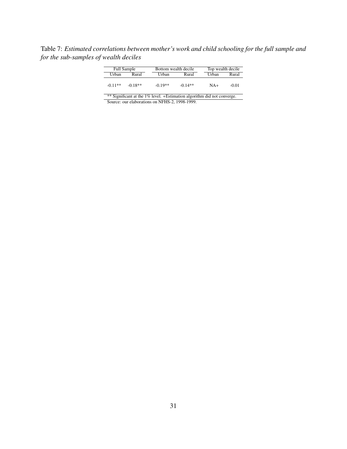Table 7: *Estimated correlations between mother's work and child schooling for the full sample and for the sub-samples of wealth deciles*

| <b>Full Sample</b> |           |                                                                         | Bottom wealth decile | Top wealth decile |         |
|--------------------|-----------|-------------------------------------------------------------------------|----------------------|-------------------|---------|
| Urban              | Rural     | Urban                                                                   | Rural                | Urban             | Rural   |
| $-0.11**$          | $-0.18**$ | $-0.19**$                                                               | $-0.14**$            | $NA+$             | $-0.01$ |
|                    |           | ** Significant at the 1% level. +Estimation algorithm did not converge. |                      |                   |         |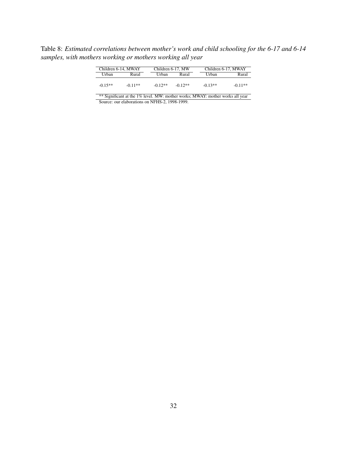Table 8: *Estimated correlations between mother's work and child schooling for the 6-17 and 6-14 samples, with mothers working or mothers working all year*

| Children 6-14, MWAY |           | Children 6-17, MW |           | Children 6-17, MWAY                                                           |           |  |
|---------------------|-----------|-------------------|-----------|-------------------------------------------------------------------------------|-----------|--|
| Urban               | Rural     | Urban             | Rural     | Urban                                                                         | Rural     |  |
| $-0.15**$           | $-0.11**$ | $-0.12**$         | $-0.12**$ | $-0.13**$                                                                     | $-0.11**$ |  |
|                     |           |                   |           | ** Significant at the 1% level. MW: mother works; MWAY: mother works all year |           |  |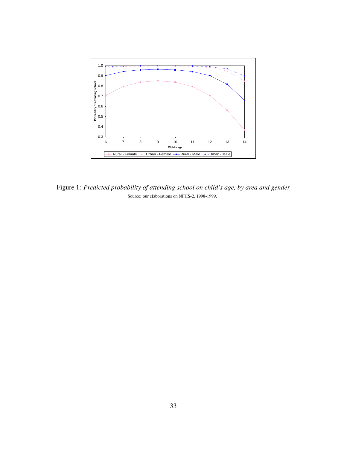

Figure 1: *Predicted probability of attending school on child's age, by area and gender* Source: our elaborations on NFHS-2, 1998-1999.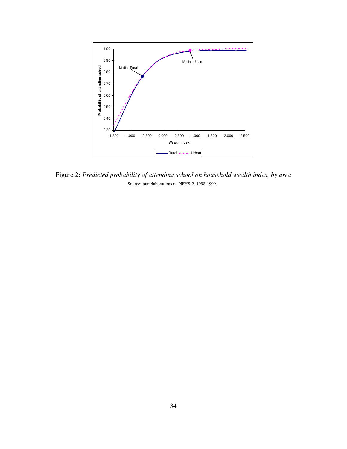

Figure 2: *Predicted probability of attending school on household wealth index, by area* Source: our elaborations on NFHS-2, 1998-1999.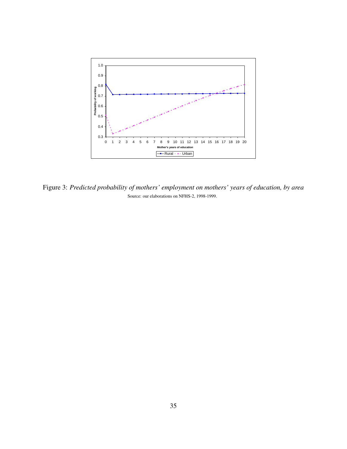

Figure 3: *Predicted probability of mothers' employment on mothers' years of education, by area* Source: our elaborations on NFHS-2, 1998-1999.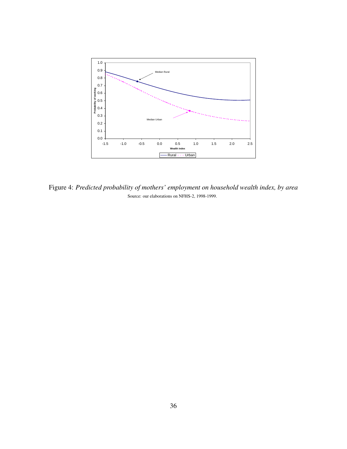

Figure 4: *Predicted probability of mothers' employment on household wealth index, by area* Source: our elaborations on NFHS-2, 1998-1999.